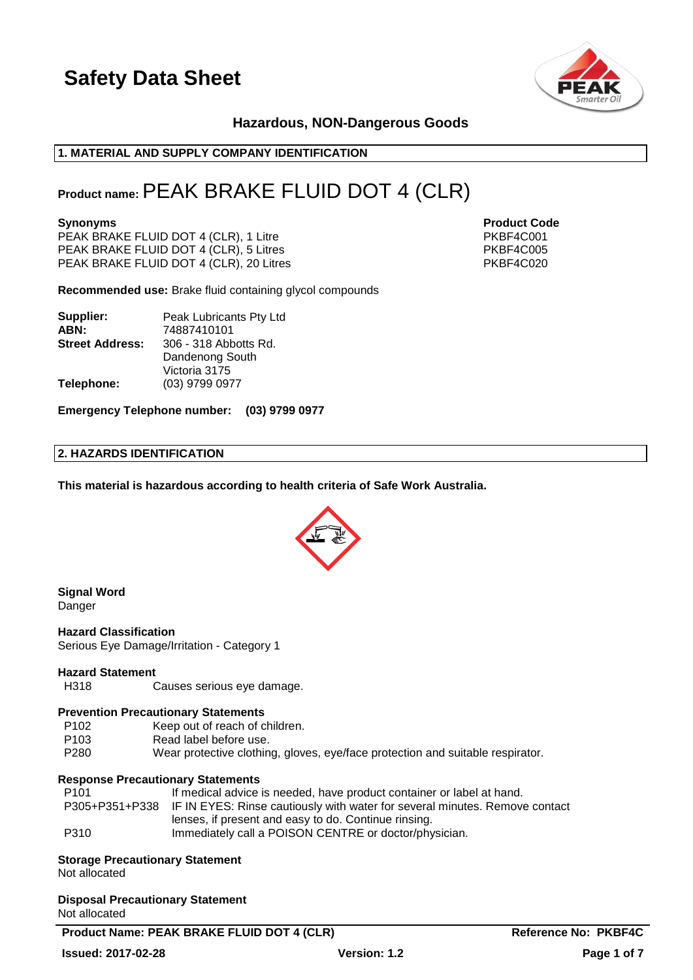

### **Hazardous, NON-Dangerous Goods**

### **1. MATERIAL AND SUPPLY COMPANY IDENTIFICATION**

### **Product name:**PEAK BRAKE FLUID DOT 4 (CLR)

PEAK BRAKE FLUID DOT 4 (CLR), 1 Litre PKBF4C001 PEAK BRAKE FLUID DOT 4 (CLR), 5 Litres<br>PEAK BRAKE FLUID DOT 4 (CLR), 20 Litres PEAK BRAKE FLUID DOT 4 (CLR), 20 Litres PEAK BRAKE FLUID DOT 4  $(CLR)$ , 20 Litres

**Recommended use:** Brake fluid containing glycol compounds

| Supplier:              | Peak Lubricants Pty Ltd |  |
|------------------------|-------------------------|--|
| ABN:                   | 74887410101             |  |
| <b>Street Address:</b> | 306 - 318 Abbotts Rd.   |  |
|                        | Dandenong South         |  |
|                        | Victoria 3175           |  |
| Telephone:             | (03) 9799 0977          |  |

**Emergency Telephone number: (03) 9799 0977**

### **2. HAZARDS IDENTIFICATION**

**This material is hazardous according to health criteria of Safe Work Australia.**



#### **Signal Word** Danger

**Hazard Classification** Serious Eye Damage/Irritation - Category 1

#### **Hazard Statement**

H318 Causes serious eye damage.

#### **Prevention Precautionary Statements**

- P102 Keep out of reach of children.
- P103 Read label before use.
- P280 Wear protective clothing, gloves, eye/face protection and suitable respirator.

#### **Response Precautionary Statements**

| P101 | If medical advice is needed, have product container or label at hand.                      |
|------|--------------------------------------------------------------------------------------------|
|      | P305+P351+P338 IF IN EYES: Rinse cautiously with water for several minutes. Remove contact |
|      | lenses, if present and easy to do. Continue rinsing.                                       |
| P310 | Immediately call a POISON CENTRE or doctor/physician.                                      |

### **Storage Precautionary Statement**

Not allocated

### **Disposal Precautionary Statement**

Not allocated

Product Name: PEAK BRAKE FLUID DOT 4 (CLR) Reference No: PKBF4C

# **Issued: 2017-02-28 Version: 1.2 Page 1 of 7**

**Synonyms Product Code**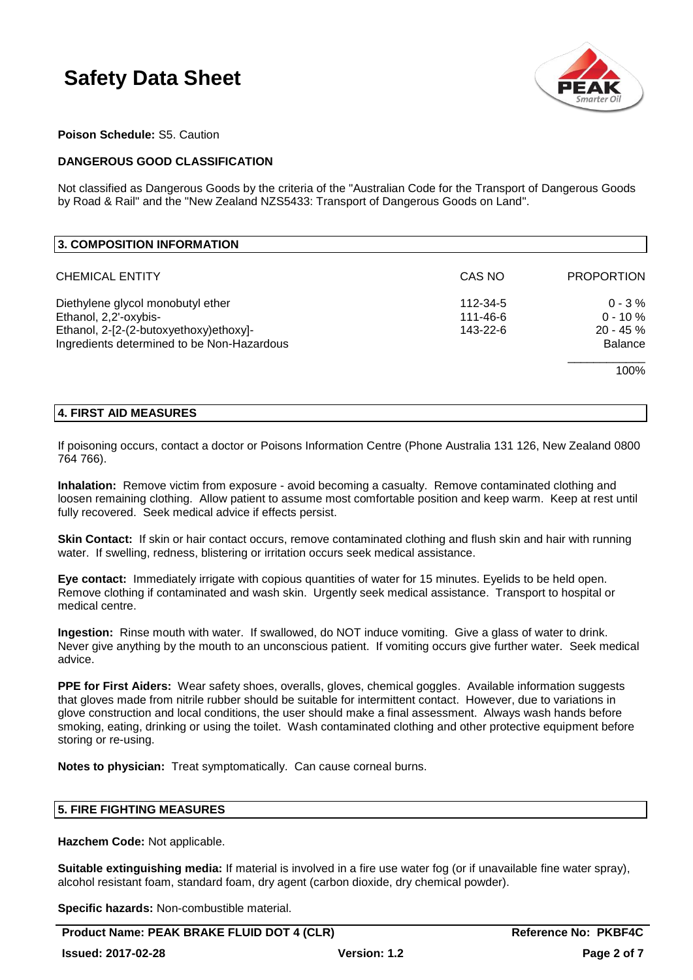

### **Poison Schedule:** S5. Caution

### **DANGEROUS GOOD CLASSIFICATION**

Not classified as Dangerous Goods by the criteria of the "Australian Code for the Transport of Dangerous Goods by Road & Rail" and the "New Zealand NZS5433: Transport of Dangerous Goods on Land".

| 3. COMPOSITION INFORMATION                 |          |                   |
|--------------------------------------------|----------|-------------------|
| <b>CHEMICAL ENTITY</b>                     | CAS NO   | <b>PROPORTION</b> |
| Diethylene glycol monobutyl ether          | 112-34-5 | $0 - 3 \%$        |
| Ethanol, 2,2'-oxybis-                      | 111-46-6 | $0 - 10 \%$       |
| Ethanol, 2-[2-(2-butoxyethoxy)ethoxy]-     | 143-22-6 | $20 - 45 \%$      |
| Ingredients determined to be Non-Hazardous |          | <b>Balance</b>    |
|                                            |          | 100%              |

### **4. FIRST AID MEASURES**

If poisoning occurs, contact a doctor or Poisons Information Centre (Phone Australia 131 126, New Zealand 0800 764 766).

**Inhalation:** Remove victim from exposure - avoid becoming a casualty. Remove contaminated clothing and loosen remaining clothing. Allow patient to assume most comfortable position and keep warm. Keep at rest until fully recovered. Seek medical advice if effects persist.

**Skin Contact:** If skin or hair contact occurs, remove contaminated clothing and flush skin and hair with running water. If swelling, redness, blistering or irritation occurs seek medical assistance.

**Eye contact:** Immediately irrigate with copious quantities of water for 15 minutes. Eyelids to be held open. Remove clothing if contaminated and wash skin. Urgently seek medical assistance. Transport to hospital or medical centre.

**Ingestion:** Rinse mouth with water. If swallowed, do NOT induce vomiting. Give a glass of water to drink. Never give anything by the mouth to an unconscious patient. If vomiting occurs give further water. Seek medical advice.

**PPE for First Aiders:** Wear safety shoes, overalls, gloves, chemical goggles. Available information suggests that gloves made from nitrile rubber should be suitable for intermittent contact. However, due to variations in glove construction and local conditions, the user should make a final assessment. Always wash hands before smoking, eating, drinking or using the toilet. Wash contaminated clothing and other protective equipment before storing or re-using.

**Notes to physician:** Treat symptomatically. Can cause corneal burns.

### **5. FIRE FIGHTING MEASURES**

**Hazchem Code:** Not applicable.

**Suitable extinguishing media:** If material is involved in a fire use water fog (or if unavailable fine water spray), alcohol resistant foam, standard foam, dry agent (carbon dioxide, dry chemical powder).

**Specific hazards:** Non-combustible material.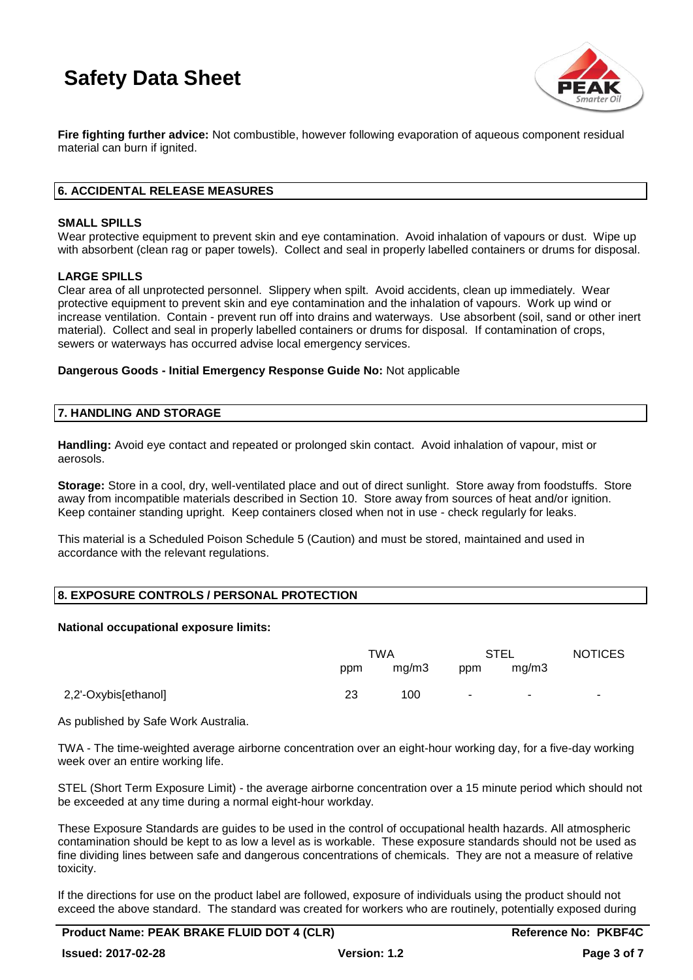

**Fire fighting further advice:** Not combustible, however following evaporation of aqueous component residual material can burn if ignited.

### **6. ACCIDENTAL RELEASE MEASURES**

### **SMALL SPILLS**

Wear protective equipment to prevent skin and eye contamination. Avoid inhalation of vapours or dust. Wipe up with absorbent (clean rag or paper towels). Collect and seal in properly labelled containers or drums for disposal.

### **LARGE SPILLS**

Clear area of all unprotected personnel. Slippery when spilt. Avoid accidents, clean up immediately. Wear protective equipment to prevent skin and eye contamination and the inhalation of vapours. Work up wind or increase ventilation. Contain - prevent run off into drains and waterways. Use absorbent (soil, sand or other inert material). Collect and seal in properly labelled containers or drums for disposal. If contamination of crops, sewers or waterways has occurred advise local emergency services.

**Dangerous Goods - Initial Emergency Response Guide No:** Not applicable

### **7. HANDLING AND STORAGE**

**Handling:** Avoid eye contact and repeated or prolonged skin contact. Avoid inhalation of vapour, mist or aerosols.

**Storage:** Store in a cool, dry, well-ventilated place and out of direct sunlight. Store away from foodstuffs. Store away from incompatible materials described in Section 10. Store away from sources of heat and/or ignition. Keep container standing upright. Keep containers closed when not in use - check regularly for leaks.

This material is a Scheduled Poison Schedule 5 (Caution) and must be stored, maintained and used in accordance with the relevant regulations.

### **8. EXPOSURE CONTROLS / PERSONAL PROTECTION**

#### **National occupational exposure limits:**

|                      | <b>TWA</b> |       | STEL   |       | <b>NOTICES</b> |
|----------------------|------------|-------|--------|-------|----------------|
|                      | ppm        | mg/m3 | ppm    | mq/m3 |                |
| 2,2'-Oxybis[ethanol] | 23         | 100   | $\sim$ |       | -              |

As published by Safe Work Australia.

TWA - The time-weighted average airborne concentration over an eight-hour working day, for a five-day working week over an entire working life.

STEL (Short Term Exposure Limit) - the average airborne concentration over a 15 minute period which should not be exceeded at any time during a normal eight-hour workday.

These Exposure Standards are guides to be used in the control of occupational health hazards. All atmospheric contamination should be kept to as low a level as is workable. These exposure standards should not be used as fine dividing lines between safe and dangerous concentrations of chemicals. They are not a measure of relative toxicity.

If the directions for use on the product label are followed, exposure of individuals using the product should not exceed the above standard. The standard was created for workers who are routinely, potentially exposed during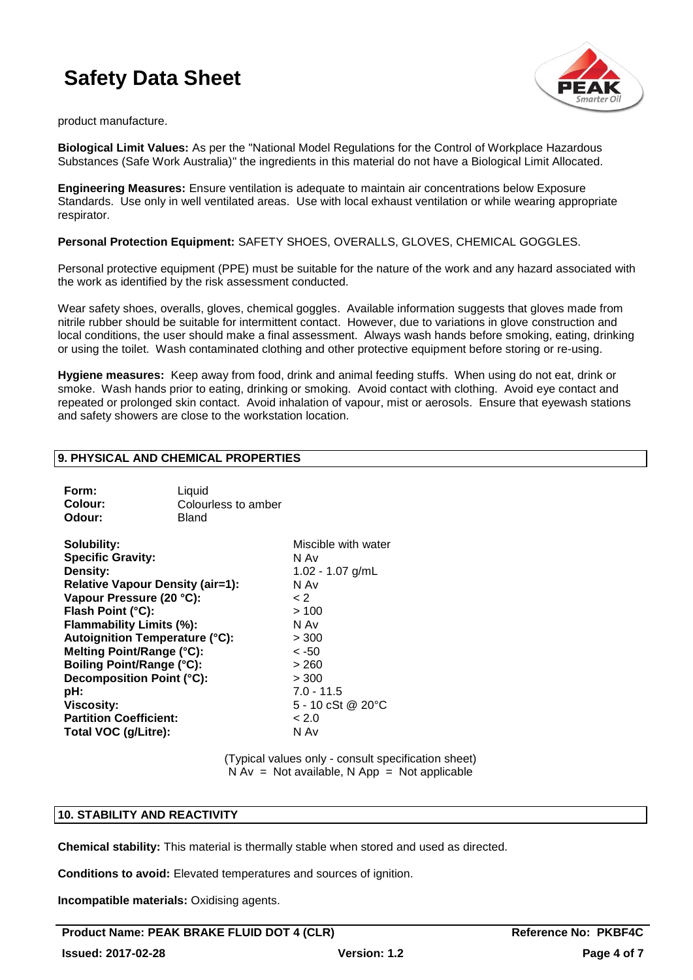

product manufacture.

**Biological Limit Values:** As per the "National Model Regulations for the Control of Workplace Hazardous Substances (Safe Work Australia)" the ingredients in this material do not have a Biological Limit Allocated.

**Engineering Measures:** Ensure ventilation is adequate to maintain air concentrations below Exposure Standards. Use only in well ventilated areas. Use with local exhaust ventilation or while wearing appropriate respirator.

### **Personal Protection Equipment:** SAFETY SHOES, OVERALLS, GLOVES, CHEMICAL GOGGLES.

Personal protective equipment (PPE) must be suitable for the nature of the work and any hazard associated with the work as identified by the risk assessment conducted.

Wear safety shoes, overalls, gloves, chemical goggles. Available information suggests that gloves made from nitrile rubber should be suitable for intermittent contact. However, due to variations in glove construction and local conditions, the user should make a final assessment. Always wash hands before smoking, eating, drinking or using the toilet. Wash contaminated clothing and other protective equipment before storing or re-using.

**Hygiene measures:** Keep away from food, drink and animal feeding stuffs. When using do not eat, drink or smoke. Wash hands prior to eating, drinking or smoking. Avoid contact with clothing. Avoid eye contact and repeated or prolonged skin contact. Avoid inhalation of vapour, mist or aerosols. Ensure that eyewash stations and safety showers are close to the workstation location.

### **9. PHYSICAL AND CHEMICAL PROPERTIES**

| Form:<br>Colour:<br>Odour:                                                                                                                                                                                                                        | Liquid<br>Colourless to amber<br>Bland |                                                                                                         |
|---------------------------------------------------------------------------------------------------------------------------------------------------------------------------------------------------------------------------------------------------|----------------------------------------|---------------------------------------------------------------------------------------------------------|
| Solubility:<br><b>Specific Gravity:</b><br>Density:<br><b>Relative Vapour Density (air=1):</b><br>Vapour Pressure (20 °C):<br>Flash Point (°C):<br>Flammability Limits (%):<br><b>Autoignition Temperature (°C):</b><br>Melting Point/Range (°C): |                                        | Miscible with water<br>N Av<br>$1.02 - 1.07$ g/mL<br>N Av<br>$\lt 2$<br>>100<br>N Av<br>>300<br>$< -50$ |
| Boiling Point/Range (°C):<br>Decomposition Point (°C):<br>pH:                                                                                                                                                                                     |                                        | >260<br>> 300<br>$7.0 - 11.5$                                                                           |

**Viscosity:** 5 - 10 cSt @ 20°C

Partition Coefficient:  $< 2.0$ **Total VOC (g/Litre):** N Av

> (Typical values only - consult specification sheet)  $N Av = Not available$ . Note available and  $N A v = N 0$

### **10. STABILITY AND REACTIVITY**

**Chemical stability:** This material is thermally stable when stored and used as directed.

**Conditions to avoid:** Elevated temperatures and sources of ignition.

**Incompatible materials:** Oxidising agents.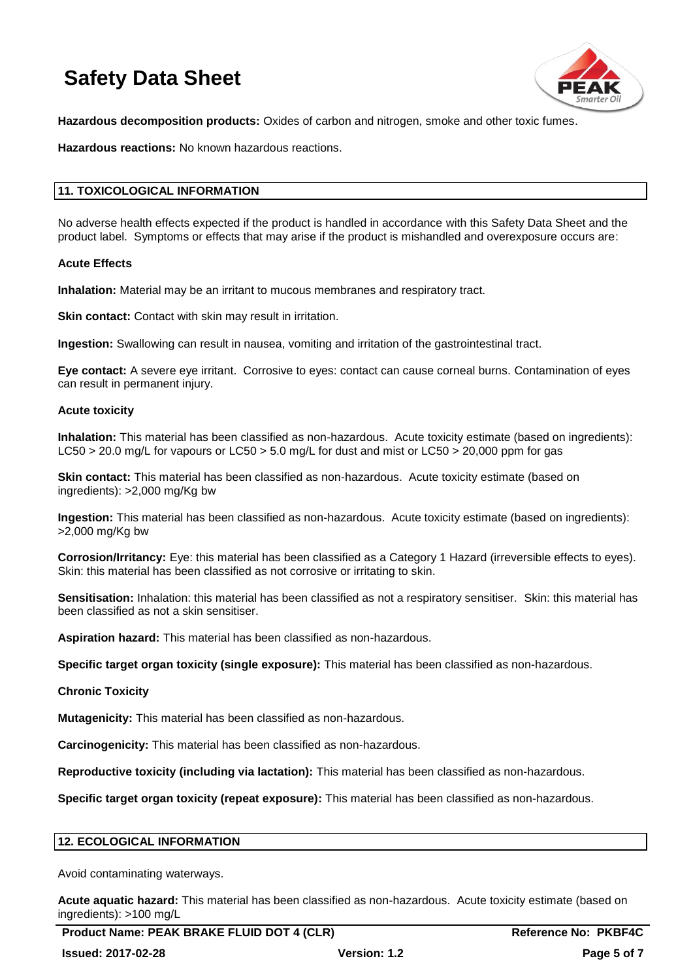

**Hazardous decomposition products:** Oxides of carbon and nitrogen, smoke and other toxic fumes.

**Hazardous reactions:** No known hazardous reactions.

### **11. TOXICOLOGICAL INFORMATION**

No adverse health effects expected if the product is handled in accordance with this Safety Data Sheet and the product label. Symptoms or effects that may arise if the product is mishandled and overexposure occurs are:

### **Acute Effects**

**Inhalation:** Material may be an irritant to mucous membranes and respiratory tract.

**Skin contact:** Contact with skin may result in irritation.

**Ingestion:** Swallowing can result in nausea, vomiting and irritation of the gastrointestinal tract.

**Eye contact:** A severe eye irritant. Corrosive to eyes: contact can cause corneal burns. Contamination of eyes can result in permanent injury.

#### **Acute toxicity**

**Inhalation:** This material has been classified as non-hazardous. Acute toxicity estimate (based on ingredients): LC50 > 20.0 mg/L for vapours or LC50 > 5.0 mg/L for dust and mist or LC50 > 20,000 ppm for gas

**Skin contact:** This material has been classified as non-hazardous. Acute toxicity estimate (based on ingredients): >2,000 mg/Kg bw

**Ingestion:** This material has been classified as non-hazardous. Acute toxicity estimate (based on ingredients): >2,000 mg/Kg bw

**Corrosion/Irritancy:** Eye: this material has been classified as a Category 1 Hazard (irreversible effects to eyes). Skin: this material has been classified as not corrosive or irritating to skin.

**Sensitisation:** Inhalation: this material has been classified as not a respiratory sensitiser. Skin: this material has been classified as not a skin sensitiser.

**Aspiration hazard:** This material has been classified as non-hazardous.

**Specific target organ toxicity (single exposure):** This material has been classified as non-hazardous.

#### **Chronic Toxicity**

**Mutagenicity:** This material has been classified as non-hazardous.

**Carcinogenicity:** This material has been classified as non-hazardous.

**Reproductive toxicity (including via lactation):** This material has been classified as non-hazardous.

**Specific target organ toxicity (repeat exposure):** This material has been classified as non-hazardous.

### **12. ECOLOGICAL INFORMATION**

Avoid contaminating waterways.

**Acute aquatic hazard:** This material has been classified as non-hazardous. Acute toxicity estimate (based on ingredients): >100 mg/L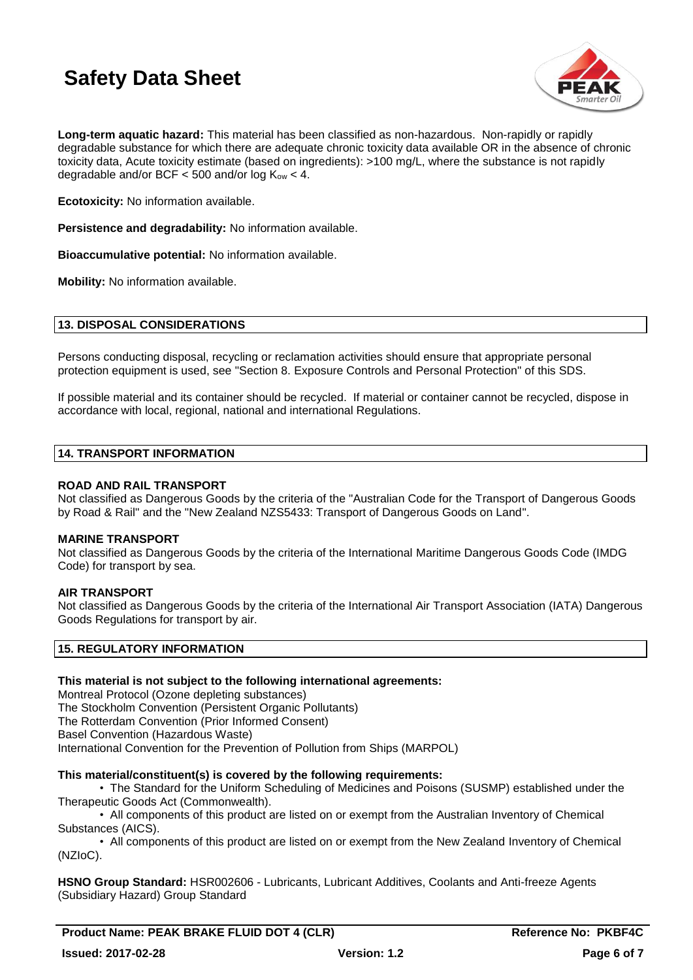

**Long-term aquatic hazard:** This material has been classified as non-hazardous. Non-rapidly or rapidly degradable substance for which there are adequate chronic toxicity data available OR in the absence of chronic toxicity data, Acute toxicity estimate (based on ingredients): >100 mg/L, where the substance is not rapidly degradable and/or BCF  $<$  500 and/or log K<sub>ow</sub>  $<$  4.

**Ecotoxicity:** No information available.

**Persistence and degradability:** No information available.

**Bioaccumulative potential:** No information available.

**Mobility:** No information available.

### **13. DISPOSAL CONSIDERATIONS**

Persons conducting disposal, recycling or reclamation activities should ensure that appropriate personal protection equipment is used, see "Section 8. Exposure Controls and Personal Protection" of this SDS.

If possible material and its container should be recycled. If material or container cannot be recycled, dispose in accordance with local, regional, national and international Regulations.

### **14. TRANSPORT INFORMATION**

### **ROAD AND RAIL TRANSPORT**

Not classified as Dangerous Goods by the criteria of the "Australian Code for the Transport of Dangerous Goods by Road & Rail" and the "New Zealand NZS5433: Transport of Dangerous Goods on Land".

### **MARINE TRANSPORT**

Not classified as Dangerous Goods by the criteria of the International Maritime Dangerous Goods Code (IMDG Code) for transport by sea.

### **AIR TRANSPORT**

Not classified as Dangerous Goods by the criteria of the International Air Transport Association (IATA) Dangerous Goods Regulations for transport by air.

### **15. REGULATORY INFORMATION**

### **This material is not subject to the following international agreements:**

Montreal Protocol (Ozone depleting substances) The Stockholm Convention (Persistent Organic Pollutants) The Rotterdam Convention (Prior Informed Consent) Basel Convention (Hazardous Waste) International Convention for the Prevention of Pollution from Ships (MARPOL)

### **This material/constituent(s) is covered by the following requirements:**

• The Standard for the Uniform Scheduling of Medicines and Poisons (SUSMP) established under the Therapeutic Goods Act (Commonwealth).

• All components of this product are listed on or exempt from the Australian Inventory of Chemical Substances (AICS).

• All components of this product are listed on or exempt from the New Zealand Inventory of Chemical (NZIoC).

**HSNO Group Standard:** HSR002606 - Lubricants, Lubricant Additives, Coolants and Anti-freeze Agents (Subsidiary Hazard) Group Standard